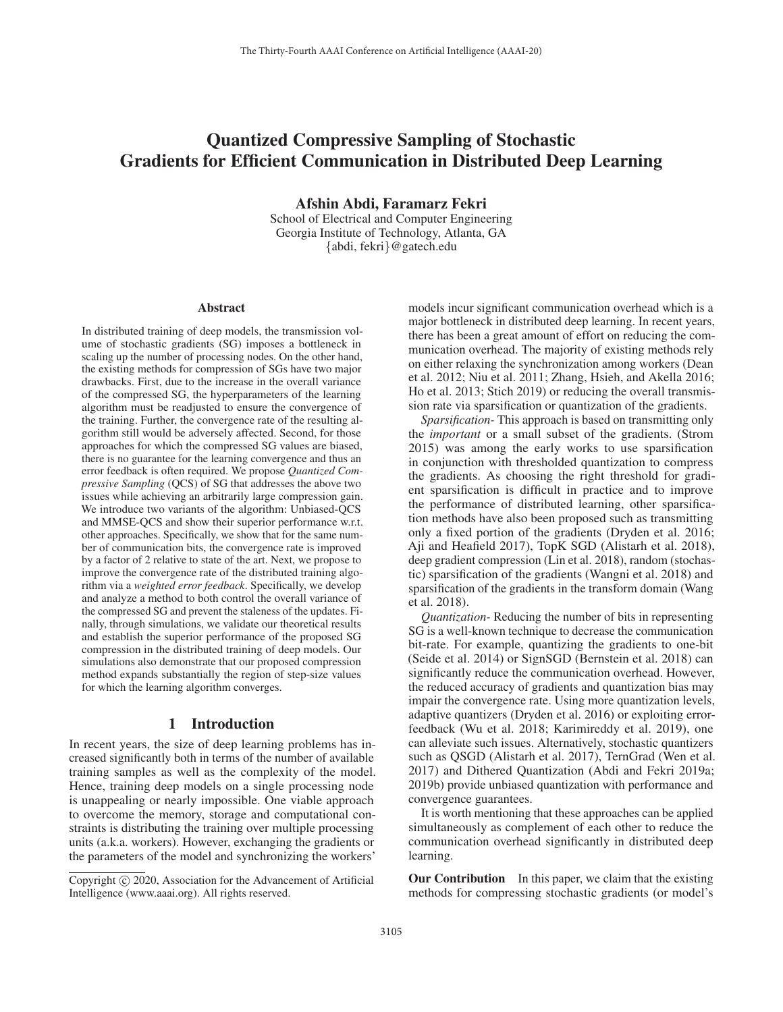# Quantized Compressive Sampling of Stochastic Gradients for Efficient Communication in Distributed Deep Learning

Afshin Abdi, Faramarz Fekri

School of Electrical and Computer Engineering Georgia Institute of Technology, Atlanta, GA {abdi, fekri}@gatech.edu

#### Abstract

In distributed training of deep models, the transmission volume of stochastic gradients (SG) imposes a bottleneck in scaling up the number of processing nodes. On the other hand, the existing methods for compression of SGs have two major drawbacks. First, due to the increase in the overall variance of the compressed SG, the hyperparameters of the learning algorithm must be readjusted to ensure the convergence of the training. Further, the convergence rate of the resulting algorithm still would be adversely affected. Second, for those approaches for which the compressed SG values are biased, there is no guarantee for the learning convergence and thus an error feedback is often required. We propose *Quantized Compressive Sampling* (QCS) of SG that addresses the above two issues while achieving an arbitrarily large compression gain. We introduce two variants of the algorithm: Unbiased-QCS and MMSE-QCS and show their superior performance w.r.t. other approaches. Specifically, we show that for the same number of communication bits, the convergence rate is improved by a factor of 2 relative to state of the art. Next, we propose to improve the convergence rate of the distributed training algorithm via a *weighted error feedback*. Specifically, we develop and analyze a method to both control the overall variance of the compressed SG and prevent the staleness of the updates. Finally, through simulations, we validate our theoretical results and establish the superior performance of the proposed SG compression in the distributed training of deep models. Our simulations also demonstrate that our proposed compression method expands substantially the region of step-size values for which the learning algorithm converges.

## 1 Introduction

In recent years, the size of deep learning problems has increased significantly both in terms of the number of available training samples as well as the complexity of the model. Hence, training deep models on a single processing node is unappealing or nearly impossible. One viable approach to overcome the memory, storage and computational constraints is distributing the training over multiple processing units (a.k.a. workers). However, exchanging the gradients or the parameters of the model and synchronizing the workers'

models incur significant communication overhead which is a major bottleneck in distributed deep learning. In recent years, there has been a great amount of effort on reducing the communication overhead. The majority of existing methods rely on either relaxing the synchronization among workers (Dean et al. 2012; Niu et al. 2011; Zhang, Hsieh, and Akella 2016; Ho et al. 2013; Stich 2019) or reducing the overall transmission rate via sparsification or quantization of the gradients.

*Sparsification-* This approach is based on transmitting only the *important* or a small subset of the gradients. (Strom 2015) was among the early works to use sparsification in conjunction with thresholded quantization to compress the gradients. As choosing the right threshold for gradient sparsification is difficult in practice and to improve the performance of distributed learning, other sparsification methods have also been proposed such as transmitting only a fixed portion of the gradients (Dryden et al. 2016; Aji and Heafield 2017), TopK SGD (Alistarh et al. 2018), deep gradient compression (Lin et al. 2018), random (stochastic) sparsification of the gradients (Wangni et al. 2018) and sparsification of the gradients in the transform domain (Wang et al. 2018).

*Quantization-* Reducing the number of bits in representing SG is a well-known technique to decrease the communication bit-rate. For example, quantizing the gradients to one-bit (Seide et al. 2014) or SignSGD (Bernstein et al. 2018) can significantly reduce the communication overhead. However, the reduced accuracy of gradients and quantization bias may impair the convergence rate. Using more quantization levels, adaptive quantizers (Dryden et al. 2016) or exploiting errorfeedback (Wu et al. 2018; Karimireddy et al. 2019), one can alleviate such issues. Alternatively, stochastic quantizers such as QSGD (Alistarh et al. 2017), TernGrad (Wen et al. 2017) and Dithered Quantization (Abdi and Fekri 2019a; 2019b) provide unbiased quantization with performance and convergence guarantees.

It is worth mentioning that these approaches can be applied simultaneously as complement of each other to reduce the communication overhead significantly in distributed deep learning.

**Our Contribution** In this paper, we claim that the existing methods for compressing stochastic gradients (or model's

Copyright  $\odot$  2020, Association for the Advancement of Artificial Intelligence (www.aaai.org). All rights reserved.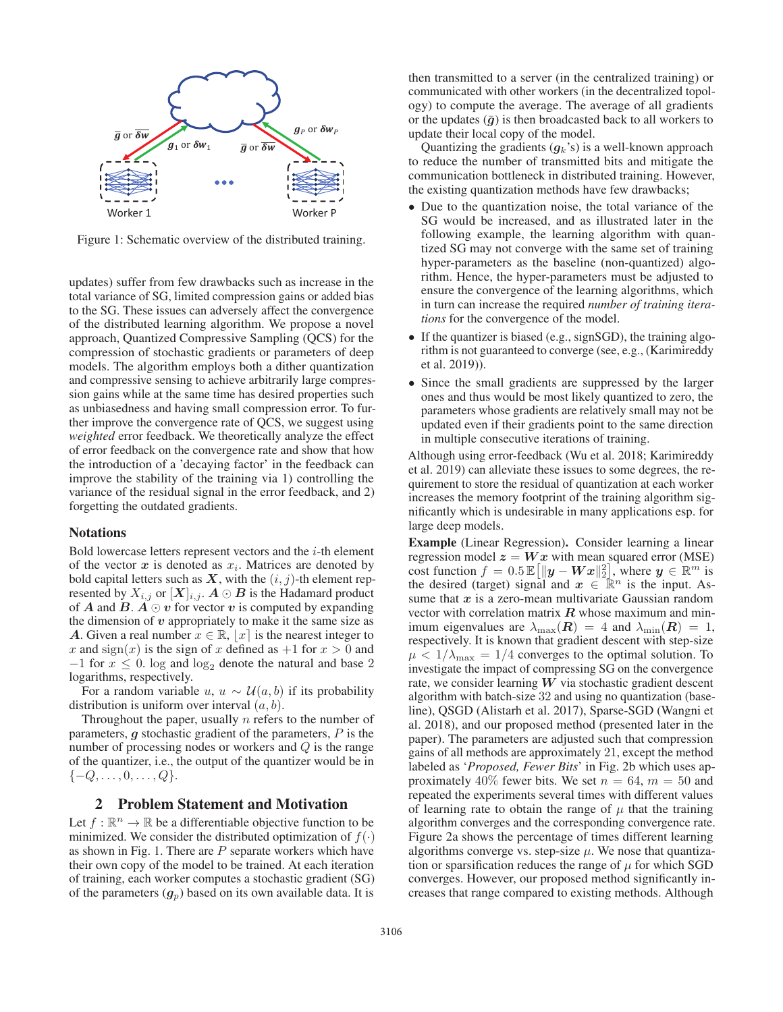

Figure 1: Schematic overview of the distributed training.

updates) suffer from few drawbacks such as increase in the total variance of SG, limited compression gains or added bias to the SG. These issues can adversely affect the convergence of the distributed learning algorithm. We propose a novel approach, Quantized Compressive Sampling (QCS) for the compression of stochastic gradients or parameters of deep models. The algorithm employs both a dither quantization and compressive sensing to achieve arbitrarily large compression gains while at the same time has desired properties such as unbiasedness and having small compression error. To further improve the convergence rate of QCS, we suggest using *weighted* error feedback. We theoretically analyze the effect of error feedback on the convergence rate and show that how the introduction of a 'decaying factor' in the feedback can improve the stability of the training via 1) controlling the variance of the residual signal in the error feedback, and 2) forgetting the outdated gradients.

#### Notations

Bold lowercase letters represent vectors and the  $i$ -th element of the vector  $x$  is denoted as  $x_i$ . Matrices are denoted by bold capital letters such as  $X$ , with the  $(i, j)$ -th element represented by  $X_{i,j}$  or  $[X]_{i,j}$ .  $A \odot B$  is the Hadamard product of A and  $B \uparrow A \odot p$  for vector v is computed by expanding of *A* and *B*.  $A \odot v$  for vector *v* is computed by expanding the dimension of *v* appropriately to make it the same size as the dimension of *v* appropriately to make it the same size as *A*. Given a real number  $x \in \mathbb{R}$ ,  $|x|$  is the nearest integer to x and sign(x) is the sign of x defined as  $+1$  for  $x > 0$  and  $-1$  for  $x \leq 0$ . log and log<sub>2</sub> denote the natural and base 2<br>logarithms respectively logarithms, respectively.

For a random variable  $u, u \sim \mathcal{U}(a, b)$  if its probability distribution is uniform over interval  $(a, b)$ .

Throughout the paper, usually  $n$  refers to the number of parameters, *g* stochastic gradient of the parameters, <sup>P</sup> is the number of processing nodes or workers and Q is the range of the quantizer, i.e., the output of the quantizer would be in  $\{-Q, \ldots, 0, \ldots, Q\}.$ 

# 2 Problem Statement and Motivation

Let  $f : \mathbb{R}^n \to \mathbb{R}$  be a differentiable objective function to be minimized. We consider the distributed optimization of  $f(\cdot)$ as shown in Fig. 1. There are  $P$  separate workers which have their own copy of the model to be trained. At each iteration of training, each worker computes a stochastic gradient (SG) of the parameters  $(q_p)$  based on its own available data. It is

then transmitted to a server (in the centralized training) or communicated with other workers (in the decentralized topology) to compute the average. The average of all gradients or the updates  $(\bar{g})$  is then broadcasted back to all workers to update their local copy of the model.

Quantizing the gradients  $(q_k)$  is a well-known approach to reduce the number of transmitted bits and mitigate the communication bottleneck in distributed training. However, the existing quantization methods have few drawbacks;

- Due to the quantization noise, the total variance of the SG would be increased, and as illustrated later in the following example, the learning algorithm with quantized SG may not converge with the same set of training hyper-parameters as the baseline (non-quantized) algorithm. Hence, the hyper-parameters must be adjusted to ensure the convergence of the learning algorithms, which in turn can increase the required *number of training iterations* for the convergence of the model.
- If the quantizer is biased (e.g., signSGD), the training algorithm is not guaranteed to converge (see, e.g., (Karimireddy et al. 2019)).
- Since the small gradients are suppressed by the larger ones and thus would be most likely quantized to zero, the parameters whose gradients are relatively small may not be updated even if their gradients point to the same direction in multiple consecutive iterations of training.

Although using error-feedback (Wu et al. 2018; Karimireddy et al. 2019) can alleviate these issues to some degrees, the requirement to store the residual of quantization at each worker increases the memory footprint of the training algorithm significantly which is undesirable in many applications esp. for large deep models.

Example (Linear Regression). Consider learning a linear regression model  $z = Wx$  with mean squared error (MSE) cost function  $f = 0.5 \mathbb{E} \left[ \|\mathbf{y} - \mathbf{W}\mathbf{x}\|_2^2 \right]$ , where  $\mathbf{y} \in \mathbb{R}^m$  is the desired (target) signal and  $\mathbf{x} \in \mathbb{R}^n$  is the input Asthe desired (target) signal and  $x \in \mathbb{R}^n$  is the input. As-<br>sume that *x* is a zero-mean multivariate Gaussian random sume that *x* is a zero-mean multivariate Gaussian random vector with correlation matrix *R* whose maximum and minimum eigenvalues are  $\lambda_{\text{max}}(\mathbf{R})=4$  and  $\lambda_{\text{min}}(\mathbf{R})=1$ , respectively. It is known that gradient descent with step-size  $\mu < 1/\lambda_{\text{max}} = 1/4$  converges to the optimal solution. To investigate the impact of compressing SG on the convergence rate, we consider learning *W* via stochastic gradient descent algorithm with batch-size 32 and using no quantization (baseline), QSGD (Alistarh et al. 2017), Sparse-SGD (Wangni et al. 2018), and our proposed method (presented later in the paper). The parameters are adjusted such that compression gains of all methods are approximately 21, except the method labeled as '*Proposed, Fewer Bits*' in Fig. 2b which uses approximately 40% fewer bits. We set  $n = 64$ ,  $m = 50$  and repeated the experiments several times with different values of learning rate to obtain the range of  $\mu$  that the training algorithm converges and the corresponding convergence rate. Figure 2a shows the percentage of times different learning algorithms converge vs. step-size  $\mu$ . We nose that quantization or sparsification reduces the range of  $\mu$  for which SGD converges. However, our proposed method significantly increases that range compared to existing methods. Although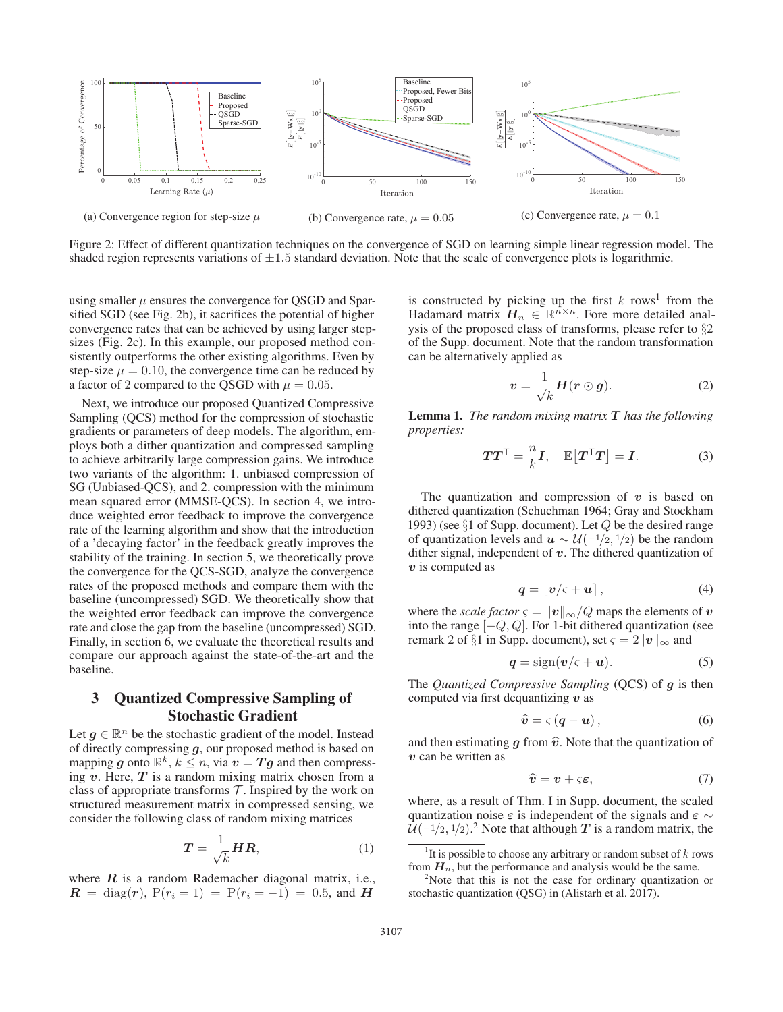

Figure 2: Effect of different quantization techniques on the convergence of SGD on learning simple linear regression model. The shaded region represents variations of  $\pm 1.5$  standard deviation. Note that the scale of convergence plots is logarithmic.

using smaller  $\mu$  ensures the convergence for QSGD and Sparsified SGD (see Fig. 2b), it sacrifices the potential of higher convergence rates that can be achieved by using larger stepsizes (Fig. 2c). In this example, our proposed method consistently outperforms the other existing algorithms. Even by step-size  $\mu = 0.10$ , the convergence time can be reduced by a factor of 2 compared to the QSGD with  $\mu = 0.05$ .

Next, we introduce our proposed Quantized Compressive Sampling (QCS) method for the compression of stochastic gradients or parameters of deep models. The algorithm, employs both a dither quantization and compressed sampling to achieve arbitrarily large compression gains. We introduce two variants of the algorithm: 1. unbiased compression of SG (Unbiased-QCS), and 2. compression with the minimum mean squared error (MMSE-QCS). In section 4, we introduce weighted error feedback to improve the convergence rate of the learning algorithm and show that the introduction of a 'decaying factor' in the feedback greatly improves the stability of the training. In section 5, we theoretically prove the convergence for the QCS-SGD, analyze the convergence rates of the proposed methods and compare them with the baseline (uncompressed) SGD. We theoretically show that the weighted error feedback can improve the convergence rate and close the gap from the baseline (uncompressed) SGD. Finally, in section 6, we evaluate the theoretical results and compare our approach against the state-of-the-art and the baseline.

# 3 Quantized Compressive Sampling of Stochastic Gradient

Let  $g \in \mathbb{R}^n$  be the stochastic gradient of the model. Instead of directly compressing *g*, our proposed method is based on mapping *g* onto  $\mathbb{R}^k$ ,  $k \leq n$ , via  $v = Tg$  and then compressing *v*. Here, *T* is a random mixing matrix chosen from a class of appropriate transforms  $\mathcal T$ . Inspired by the work on structured measurement matrix in compressed sensing, we consider the following class of random mixing matrices

$$
T = \frac{1}{\sqrt{k}} H R,\tag{1}
$$

where  $R$  is a random Rademacher diagonal matrix, i.e.,  $R = \text{diag}(r)$ ,  $P(r_i = 1) = P(r_i = -1) = 0.5$ , and *H* 

is constructed by picking up the first  $k$  rows<sup>1</sup> from the Hadamard matrix  $H_n \in \mathbb{R}^{n \times n}$ . Fore more detailed analysis of the proposed class of transforms, please refer to §2 of the Supp. document. Note that the random transformation can be alternatively applied as

$$
v = \frac{1}{\sqrt{k}} H(r \odot g). \tag{2}
$$

Lemma 1. *The random mixing matrix <sup>T</sup> has the following properties:*

$$
TT^{\mathsf{T}} = \frac{n}{k}I, \quad \mathbb{E}[T^{\mathsf{T}}T] = I. \tag{3}
$$

The quantization and compression of  $v$  is based on dithered quantization (Schuchman 1964; Gray and Stockham 1993) (see  $\S1$  of Supp. document). Let  $Q$  be the desired range of quantization levels and  $u \sim U(-1/2, 1/2)$  be the random dither signal, independent of *v*. The dithered quantization of *v* is computed as

$$
q = \lfloor v/\varsigma + u \rceil, \tag{4}
$$

where the *scale factor*  $\varsigma = ||v||_{\infty}/Q$  maps the elements of *v* into the range  $[-Q, Q]$ . For 1-bit dithered quantization (see remark 2 of §1 in Supp. document), set  $\varsigma = 2||v||_{\infty}$  and

$$
q = sign(v/\varsigma + u). \tag{5}
$$

The *Quantized Compressive Sampling* (QCS) of *g* is then computed via first dequantizing *v* as

$$
\widehat{\boldsymbol{v}} = \varsigma \left( \boldsymbol{q} - \boldsymbol{u} \right),\tag{6}
$$

and then estimating  $g$  from  $\hat{v}$ . Note that the quantization of *v* can be written as

$$
\widehat{\mathbf{v}} = \mathbf{v} + \varsigma \boldsymbol{\varepsilon},\tag{7}
$$

where, as a result of Thm. I in Supp. document, the scaled quantization noise *ε* is independent of the signals and *ε* <sup>∼</sup>  $\mathcal{U}(-1/2, 1/2)$ .<sup>2</sup> Note that although *T* is a random matrix, the

<sup>&</sup>lt;sup>1</sup>It is possible to choose any arbitrary or random subset of  $k$  rows from  $H_n$ , but the performance and analysis would be the same.

 $2^2$ Note that this is not the case for ordinary quantization or stochastic quantization (QSG) in (Alistarh et al. 2017).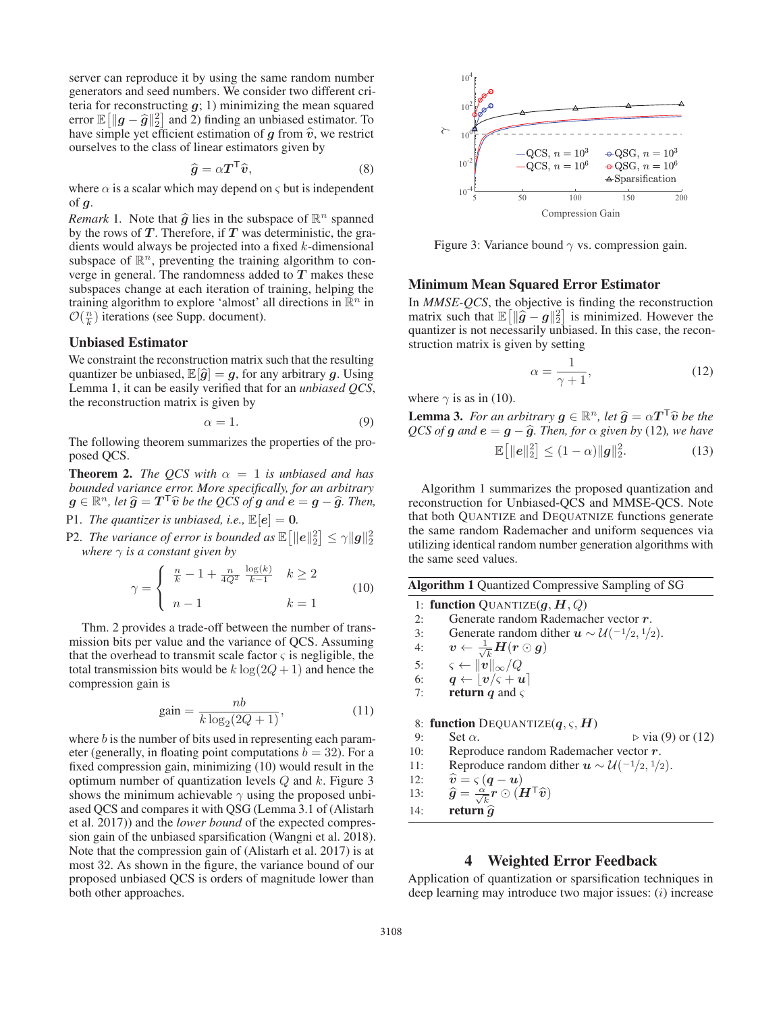server can reproduce it by using the same random number generators and seed numbers. We consider two different criteria for reconstructing *g*; 1) minimizing the mean squared error  $\mathbb{E} \left[ \|\boldsymbol{g} - \hat{g}\|_2^2 \right]$  and 2) finding an unbiased estimator. To have simple yet efficient estimation of  $\boldsymbol{a}$  from  $\hat{\boldsymbol{n}}$  we restrict have simple yet efficient estimation of *g* from  $\hat{v}$ , we restrict ourselves to the class of linear estimators given by ourselves to the class of linear estimators given by

$$
\hat{g} = \alpha T^{\mathsf{T}} \hat{v},\tag{8}
$$

 $\hat{g} = \alpha T^{\mathsf{T}} \hat{v},$ (8)<br>where  $\alpha$  is a scalar which may depend on  $\varsigma$  but is independent of *g*.

*Remark* 1. Note that  $\hat{g}$  lies in the subspace of  $\mathbb{R}^n$  spanned by the rows of  $T$ . Therefore, if  $T$  was deterministic, the gradients would always be projected into a fixed k-dimensional subspace of  $\mathbb{R}^n$ , preventing the training algorithm to converge in general. The randomness added to *T* makes these subspaces change at each iteration of training, helping the training algorithm to explore 'almost' all directions in  $\mathbb{R}^n$  in  $\mathcal{O}(\frac{n}{k})$  iterations (see Supp. document).

#### Unbiased Estimator

We constraint the reconstruction matrix such that the resulting quantizer be unbiased,  $\mathbb{E}[\hat{g}] = g$ , for any arbitrary g. Using Lemma 1, it can be easily verified that for an *unbiased QCS*, the reconstruction matrix is given by

$$
\alpha = 1. \tag{9}
$$

The following theorem summarizes the properties of the proposed QCS.

**Theorem 2.** *The QCS with*  $\alpha = 1$  *is unbiased and has bounded variance error. More specifically, for an arbitrary*  $g \in \mathbb{R}^n$ , let  $\hat{g} = T^{\mathsf{T}}\hat{v}$  *be the QCS of*  $g$  *and*  $e = g - \hat{g}$ . Then,

P1. *The quantizer is unbiased, i.e.,*  $\mathbb{E}[e] = 0$ *.* 

P2. *The variance of error is bounded as*  $\mathbb{E} \left[ \|\boldsymbol{e}\|_2^2 \right] \leq \gamma \|\boldsymbol{g}\|_2^2$  where  $\gamma$  is a constant given by *where*  $\gamma$  *is a constant given by* 

$$
\gamma = \begin{cases} \frac{n}{k} - 1 + \frac{n}{4Q^2} \frac{\log(k)}{k-1} & k \ge 2\\ n - 1 & k = 1 \end{cases}
$$
(10)

Thm. 2 provides a trade-off between the number of transmission bits per value and the variance of QCS. Assuming that the overhead to transmit scale factor  $\varsigma$  is negligible, the total transmission bits would be  $k \log(2Q + 1)$  and hence the compression gain is

$$
gain = \frac{nb}{k \log_2(2Q+1)},
$$
\nwhere *b* is the number of bits used in representing each param-

eter (generally, in floating point computations  $b = 32$ ). For a fixed compression gain, minimizing (10) would result in the optimum number of quantization levels  $Q$  and  $k$ . Figure 3 shows the minimum achievable  $\gamma$  using the proposed unbiased QCS and compares it with QSG (Lemma 3.1 of (Alistarh et al. 2017)) and the *lower bound* of the expected compression gain of the unbiased sparsification (Wangni et al. 2018). Note that the compression gain of (Alistarh et al. 2017) is at most 32. As shown in the figure, the variance bound of our proposed unbiased QCS is orders of magnitude lower than both other approaches.



Figure 3: Variance bound  $\gamma$  vs. compression gain.

#### Minimum Mean Squared Error Estimator

In *MMSE-QCS*, the objective is finding the reconstruction matrix such that  $\mathbb{E}[\|\hat{g} - g\|_2^2]$  is minimized. However the quantizer is not necessarily unbiased. In this case, the reconquantizer is not necessarily unbiased. In this case, the reconstruction matrix is given by setting

$$
\alpha = \frac{1}{\gamma + 1},\tag{12}
$$

where  $\gamma$  is as in (10).

**Lemma 3.** *For an arbitrary*  $g \in \mathbb{R}^n$ *, let*  $\hat{g} = \alpha T^T \hat{v}$  *be the QCS of g and*  $e = g - \hat{g}$ *. Then, for*  $\alpha$  *given by* (12)*, we have* 

$$
\mathbb{E}\left[\|e\|_2^2\right] \le (1-\alpha) \|g\|_2^2. \tag{13}
$$

Algorithm 1 summarizes the proposed quantization and reconstruction for Unbiased-QCS and MMSE-QCS. Note that both QUANTIZE and DEQUATNIZE functions generate the same random Rademacher and uniform sequences via utilizing identical random number generation algorithms with the same seed values.

|  |  |  |  | <b>Algorithm 1 Quantized Compressive Sampling of SG</b> |
|--|--|--|--|---------------------------------------------------------|
|--|--|--|--|---------------------------------------------------------|

1: **function** QUANTIZE( $g$ ,  $H$ ,  $Q$ )<br>2: Generate random Rademac 2: Generate random Rademacher vector *r*.<br>3: Generate random dither  $u \sim \mathcal{U}(-1/2, 1/2)$ 3: Generate random dither  $u \sim \mathcal{U}(-1/2, 1/2)$ .<br>4:  $v \leftarrow \frac{1}{\sqrt{r}} H(r \odot q)$ 4:  $v \leftarrow \frac{1}{\sqrt{k}} H(r \odot g)$ 5:  $\varsigma \leftarrow ||v||_{\infty}/Q$ <br>6:  $q \leftarrow |v/\varsigma + v$ 6:  $q \leftarrow \lfloor v/\varsigma + u \rfloor$ <br>7: **return** *a* and  $\varsigma$ **return** *q* and  $\varsigma$ 8: **function** DEQUANTIZE $(q, \varsigma, H)$ <br>9: Set  $\alpha$ .  $\triangleright$  via (9) or (12) 10: Reproduce random Rademacher vector *r*.<br>11: Reproduce random dither  $u \sim \mathcal{U}(-1/2, 1/2)$ 11: Reproduce random dither  $u \sim \mathcal{U}(-1/2, 1/2)$ .<br>12:  $\hat{v} = \varsigma (q - u)$ 12:  $\hat{v} = \varsigma (q - u)$ <br>13:  $\hat{q} = \frac{\alpha}{\varsigma} r \odot (H - u)$ 13:  $\hat{g} = \frac{\alpha}{\sqrt{k}} \hat{r} \odot (\hat{H}^{\mathsf{T}} \hat{v})$ 14: **return**  $\hat{q}$ 

# 4 Weighted Error Feedback

Application of quantization or sparsification techniques in deep learning may introduce two major issues:  $(i)$  increase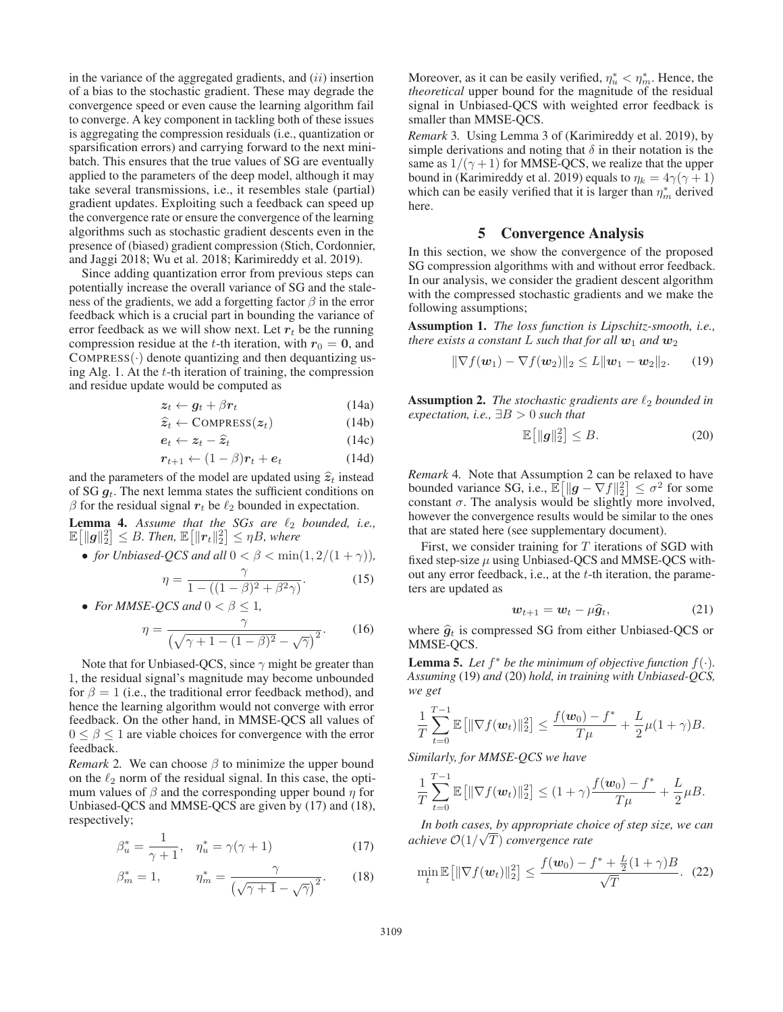in the variance of the aggregated gradients, and  $(ii)$  insertion of a bias to the stochastic gradient. These may degrade the convergence speed or even cause the learning algorithm fail to converge. A key component in tackling both of these issues is aggregating the compression residuals (i.e., quantization or sparsification errors) and carrying forward to the next minibatch. This ensures that the true values of SG are eventually applied to the parameters of the deep model, although it may take several transmissions, i.e., it resembles stale (partial) gradient updates. Exploiting such a feedback can speed up the convergence rate or ensure the convergence of the learning algorithms such as stochastic gradient descents even in the presence of (biased) gradient compression (Stich, Cordonnier, and Jaggi 2018; Wu et al. 2018; Karimireddy et al. 2019).

Since adding quantization error from previous steps can potentially increase the overall variance of SG and the staleness of the gradients, we add a forgetting factor  $\beta$  in the error feedback which is a crucial part in bounding the variance of error feedback as we will show next. Let  $r_t$  be the running compression residue at the t-th iteration, with  $r_0 = 0$ , and  $COMPRESS(\cdot)$  denote quantizing and then dequantizing using Alg. 1. At the  $t$ -th iteration of training, the compression and residue update would be computed as

$$
z_t \leftarrow g_t + \beta r_t \tag{14a}
$$
\n
$$
\widehat{z}_t \leftarrow \text{C}\text{C}\text{C}\text{C}\text{C}\text{C}\text{C}\text{C} \tag{14b}
$$

$$
\hat{z}_t \leftarrow \text{COMPRESS}(z_t) \tag{14b}
$$

$$
e_t \leftarrow z_t - \hat{z}_t \tag{14c}
$$

$$
r_{t+1} \leftarrow (1 - \beta)r_t + e_t \tag{14d}
$$

and the parameters of the model are updated using  $\hat{z}_t$  instead<br>of SG  $a_t$ . The next lemma states the sufficient conditions on of SG *g*<sup>t</sup>. The next lemma states the sufficient conditions on  $β$  for the residual signal  $r_t$  be  $\ell_2$  bounded in expectation.

**Lemma 4.** Assume that the SGs are  $\ell_2$  bounded, i.e.,  $\mathbb{E}\left[\|\boldsymbol{g}\|_2^2\right] \leq B$ . Then,  $\mathbb{E}\left[\|\boldsymbol{r}_t\|_2^2\right] \leq \eta B$ , where

• *for Unbiased-QCS and all*  $0 < \beta < \min(1, 2/(1 + \gamma))$ ,

$$
\eta = \frac{\gamma}{1 - ((1 - \beta)^2 + \beta^2 \gamma)}.
$$
\n• For MMSE-OCS and  $0 < \beta < 1$ . (15)

$$
\eta = \frac{\gamma}{(\sqrt{\gamma + 1 - (1 - \beta)^2} - \sqrt{\gamma})^2}.
$$
 (16)

Note that for Unbiased-QCS, since  $\gamma$  might be greater than 1, the residual signal's magnitude may become unbounded for  $\beta = 1$  (i.e., the traditional error feedback method), and hence the learning algorithm would not converge with error feedback. On the other hand, in MMSE-QCS all values of  $0 \leq \beta \leq 1$  are viable choices for convergence with the error feedback.

*Remark* 2. We can choose  $\beta$  to minimize the upper bound on the  $\ell_2$  norm of the residual signal. In this case, the optimum values of  $\beta$  and the corresponding upper bound  $\eta$  for Unbiased-QCS and MMSE-QCS are given by (17) and (18), respectively;

$$
\beta_u^* = \frac{1}{\gamma + 1}, \quad \eta_u^* = \gamma(\gamma + 1)
$$
 (17)

$$
\beta_m^* = 1, \qquad \eta_m^* = \frac{\gamma}{\left(\sqrt{\gamma + 1} - \sqrt{\gamma}\right)^2}.\tag{18}
$$

Moreover, as it can be easily verified,  $\eta_u^* < \eta_m^*$ . Hence, the *theoretical* upper bound for the magnitude of the residual signal in Unbiased-QCS with weighted error feedback is smaller than MMSE-QCS.

*Remark* 3*.* Using Lemma 3 of (Karimireddy et al. 2019), by simple derivations and noting that  $\delta$  in their notation is the same as  $1/(\gamma + 1)$  for MMSE-QCS, we realize that the upper bound in (Karimireddy et al. 2019) equals to  $\eta_k = 4\gamma(\gamma + 1)$ which can be easily verified that it is larger than  $\eta_m^*$  derived here.

## 5 Convergence Analysis

In this section, we show the convergence of the proposed SG compression algorithms with and without error feedback. In our analysis, we consider the gradient descent algorithm with the compressed stochastic gradients and we make the following assumptions;

Assumption 1. *The loss function is Lipschitz-smooth, i.e., there exists a constant* L *such that for all*  $w_1$  *and*  $w_2$ 

$$
\|\nabla f(\boldsymbol{w}_1) - \nabla f(\boldsymbol{w}_2)\|_2 \leq L \|\boldsymbol{w}_1 - \boldsymbol{w}_2\|_2.
$$
 (19)

**Assumption 2.** *The stochastic gradients are*  $\ell_2$  *bounded in expectation, i.e.,* ∃B > 0 *such that*

$$
\mathbb{E}\left[\|g\|_2^2\right] \le B. \tag{20}
$$

*Remark* 4*.* Note that Assumption 2 can be relaxed to have bounded variance SG, i.e.,  $\mathbb{E}[\Vert \mathbf{g} - \nabla f \Vert_2^2] \leq \sigma^2$  for some constant  $\sigma$ . The analysis would be slightly more involved constant  $\sigma$ . The analysis would be slightly more involved, however the convergence results would be similar to the ones that are stated here (see supplementary document).

First, we consider training for  $T$  iterations of SGD with fixed step-size  $\mu$  using Unbiased-QCS and MMSE-QCS without any error feedback, i.e., at the t-th iteration, the parameters are updated as

$$
\boldsymbol{w}_{t+1} = \boldsymbol{w}_t - \mu \widehat{\boldsymbol{g}}_t, \tag{21}
$$

where  $\hat{g}_t$  is compressed SG from either Unbiased-QCS or MMSE-QCS.

**Lemma 5.** Let  $f^*$  be the minimum of objective function  $f(\cdot)$ . *Assuming* (19) *and* (20) *hold, in training with Unbiased-QCS, we get*

$$
\frac{1}{T}\sum_{t=0}^{T-1}\mathbb{E}\left[\|\nabla f(\boldsymbol{w}_t)\|_2^2\right] \le \frac{f(\boldsymbol{w}_0)-f^*}{T\mu} + \frac{L}{2}\mu(1+\gamma)B.
$$

*Similarly, for MMSE-QCS we have*

$$
\frac{1}{T}\sum_{t=0}^{T-1}\mathbb{E}\big[\|\nabla f(\boldsymbol{w}_t)\|_2^2\big] \leq (1+\gamma)\frac{f(\boldsymbol{w}_0)-f^*}{T\mu}+\frac{L}{2}\mu B.
$$

*In both cases, by appropriate choice of step size, we can* √ *achieve* O(1/ T) *convergence rate*

$$
\min_{t} \mathbb{E}\left[\|\nabla f(\boldsymbol{w}_t)\|_2^2\right] \le \frac{f(\boldsymbol{w}_0) - f^* + \frac{L}{2}(1+\gamma)B}{\sqrt{T}}.\tag{22}
$$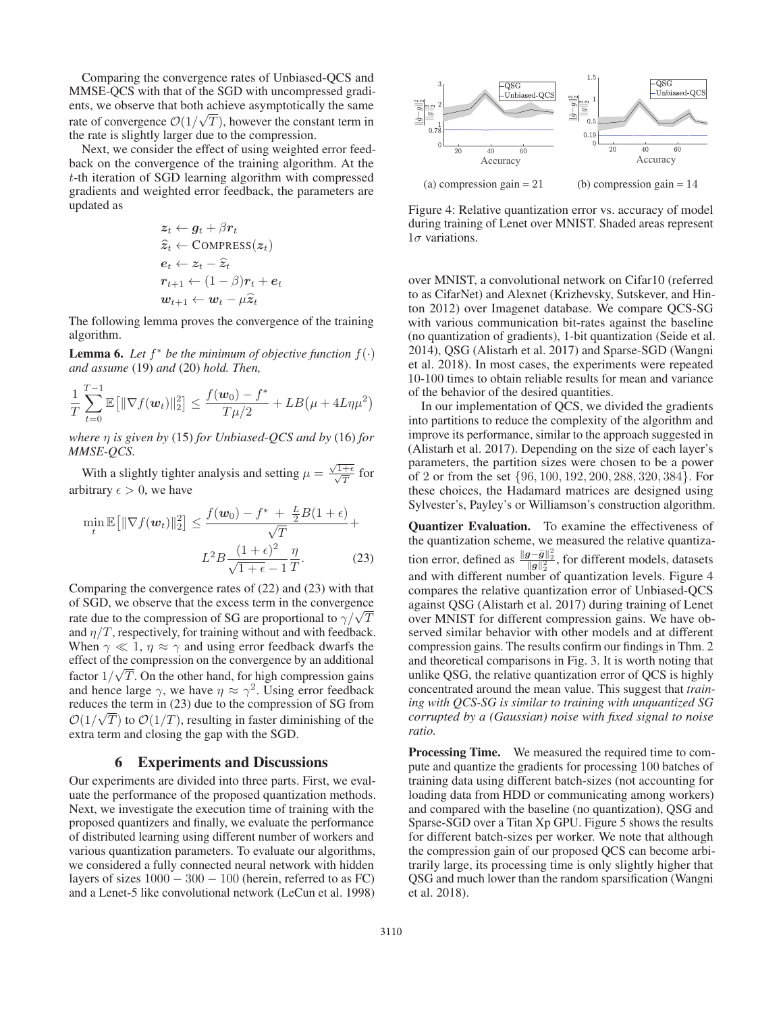Comparing the convergence rates of Unbiased-QCS and MMSE-QCS with that of the SGD with uncompressed gradients, we observe that both achieve asymptotically the same rate of convergence  $\mathcal{O}(1/\sqrt{T})$ , however the constant term in the rate is slightly larger due to the compression.

Next, we consider the effect of using weighted error feedback on the convergence of the training algorithm. At the t-th iteration of SGD learning algorithm with compressed gradients and weighted error feedback, the parameters are updated as

$$
z_t \leftarrow g_t + \beta r_t
$$
  
\n
$$
\hat{z}_t \leftarrow \text{COMPRESS}(z_t)
$$
  
\n
$$
e_t \leftarrow z_t - \hat{z}_t
$$
  
\n
$$
r_{t+1} \leftarrow (1 - \beta)r_t + e_t
$$
  
\n
$$
w_{t+1} \leftarrow w_t - \mu \hat{z}_t
$$

The following lemma proves the convergence of the training algorithm.

**Lemma 6.** Let  $f^*$  be the minimum of objective function  $f(\cdot)$ *and assume* (19) *and* (20) *hold. Then,*

$$
\frac{1}{T}\sum_{t=0}^{T-1} \mathbb{E} \left[ \|\nabla f(\boldsymbol{w}_t)\|_2^2 \right] \le \frac{f(\boldsymbol{w}_0) - f^*}{T\mu/2} + LB\left(\mu + 4L\eta\mu^2\right)
$$

*where* η *is given by* (15) *for Unbiased-QCS and by* (16) *for MMSE-QCS.*

With a slightly tighter analysis and setting  $\mu = \frac{\sqrt{1+\epsilon}}{\sqrt{T}}$  for arbitrary  $\epsilon > 0$ , we have

$$
\min_{t} \mathbb{E}\left[\|\nabla f(\boldsymbol{w}_{t})\|_{2}^{2}\right] \leq \frac{f(\boldsymbol{w}_{0}) - f^{*} + \frac{L}{2}B(1+\epsilon)}{\sqrt{T}} + L^{2}B\frac{(1+\epsilon)^{2}}{\sqrt{1+\epsilon} - 1}\frac{\eta}{T}.
$$
\n(23)

Comparing the convergence rates of (22) and (23) with that of SGD, we observe that the excess term in the convergence Figure 3 OD, we observe that the excess term in the convergence that the compression of SG are proportional to  $\gamma/\sqrt{T}$ and  $\eta/T$ , respectively, for training without and with feedback. When  $\gamma \ll 1$ ,  $\eta \approx \gamma$  and using error feedback dwarfs the effect of the compression on the convergence by an additional factor  $1/\sqrt{T}$ . On the other hand, for high compression gains and hence large  $\gamma$ , we have  $\eta \approx \gamma^2$ . Using error feedback reduces the term in (23) due to the compression of SG from  $\mathcal{O}(1/\sqrt{T})$  to  $\mathcal{O}(1/T)$ , resulting in faster diminishing of the extra term and closing the gap with the SGD.

## 6 Experiments and Discussions

Our experiments are divided into three parts. First, we evaluate the performance of the proposed quantization methods. Next, we investigate the execution time of training with the proposed quantizers and finally, we evaluate the performance of distributed learning using different number of workers and various quantization parameters. To evaluate our algorithms, we considered a fully connected neural network with hidden layers of sizes  $1000 - 300 - 100$  (herein, referred to as FC) and a Lenet-5 like convolutional network (LeCun et al. 1998)



Figure 4: Relative quantization error vs. accuracy of model during training of Lenet over MNIST. Shaded areas represent  $1\sigma$  variations.

over MNIST, a convolutional network on Cifar10 (referred to as CifarNet) and Alexnet (Krizhevsky, Sutskever, and Hinton 2012) over Imagenet database. We compare QCS-SG with various communication bit-rates against the baseline (no quantization of gradients), 1-bit quantization (Seide et al. 2014), QSG (Alistarh et al. 2017) and Sparse-SGD (Wangni et al. 2018). In most cases, the experiments were repeated 10-100 times to obtain reliable results for mean and variance of the behavior of the desired quantities.

In our implementation of QCS, we divided the gradients into partitions to reduce the complexity of the algorithm and improve its performance, similar to the approach suggested in (Alistarh et al. 2017). Depending on the size of each layer's parameters, the partition sizes were chosen to be a power of 2 or from the set {96, 100, 192, 200, 288, 320, 384}. For these choices, the Hadamard matrices are designed using Sylvester's, Payley's or Williamson's construction algorithm.

Quantizer Evaluation. To examine the effectiveness of the quantization scheme, we measured the relative quantization error, defined as  $\frac{\|g-\tilde{g}\|_2^2}{\|g\|_2^2}$ , for different models, datasets<br>and with different number of quantization layels. Figure 4 and with different number of quantization levels. Figure 4 compares the relative quantization error of Unbiased-QCS against QSG (Alistarh et al. 2017) during training of Lenet over MNIST for different compression gains. We have observed similar behavior with other models and at different compression gains. The results confirm our findings in Thm. 2 and theoretical comparisons in Fig. 3. It is worth noting that unlike QSG, the relative quantization error of QCS is highly concentrated around the mean value. This suggest that *training with QCS-SG is similar to training with unquantized SG corrupted by a (Gaussian) noise with fixed signal to noise ratio.*

Processing Time. We measured the required time to compute and quantize the gradients for processing 100 batches of training data using different batch-sizes (not accounting for loading data from HDD or communicating among workers) and compared with the baseline (no quantization), QSG and Sparse-SGD over a Titan Xp GPU. Figure 5 shows the results for different batch-sizes per worker. We note that although the compression gain of our proposed QCS can become arbitrarily large, its processing time is only slightly higher that QSG and much lower than the random sparsification (Wangni et al. 2018).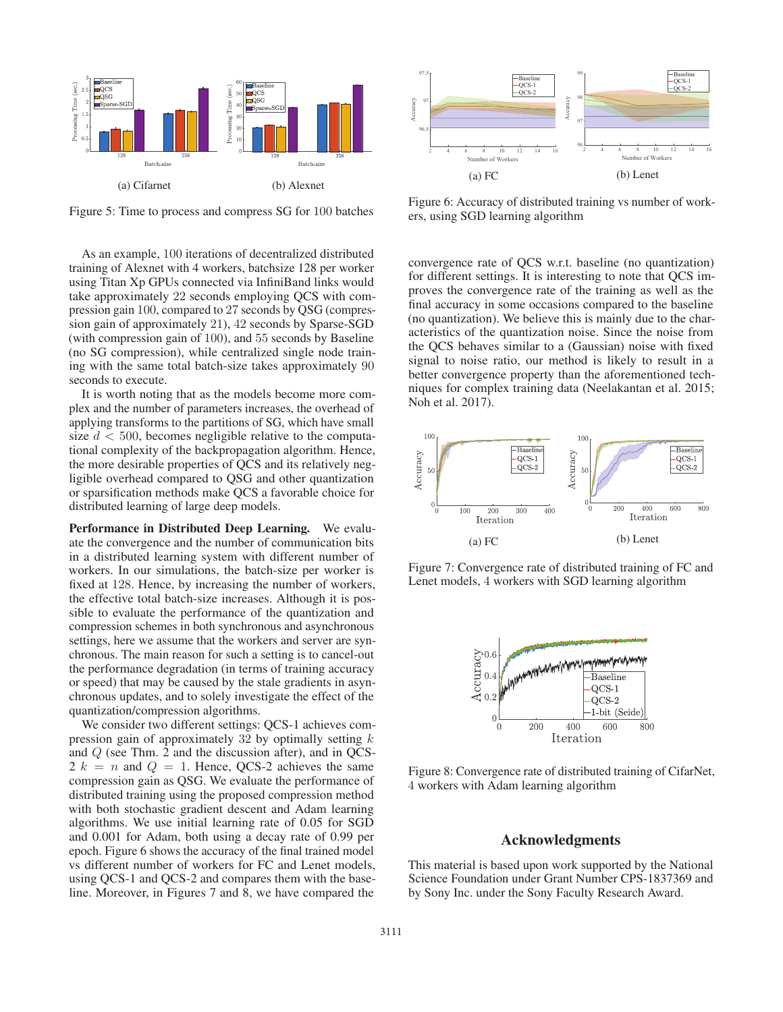

Figure 5: Time to process and compress SG for 100 batches

As an example, 100 iterations of decentralized distributed training of Alexnet with 4 workers, batchsize 128 per worker using Titan Xp GPUs connected via InfiniBand links would take approximately 22 seconds employing QCS with compression gain 100, compared to 27 seconds by QSG (compression gain of approximately 21), 42 seconds by Sparse-SGD (with compression gain of 100), and 55 seconds by Baseline (no SG compression), while centralized single node training with the same total batch-size takes approximately 90 seconds to execute.

It is worth noting that as the models become more complex and the number of parameters increases, the overhead of applying transforms to the partitions of SG, which have small size  $d < 500$ , becomes negligible relative to the computational complexity of the backpropagation algorithm. Hence, the more desirable properties of QCS and its relatively negligible overhead compared to QSG and other quantization or sparsification methods make QCS a favorable choice for distributed learning of large deep models.

Performance in Distributed Deep Learning. We evaluate the convergence and the number of communication bits in a distributed learning system with different number of workers. In our simulations, the batch-size per worker is fixed at 128. Hence, by increasing the number of workers, the effective total batch-size increases. Although it is possible to evaluate the performance of the quantization and compression schemes in both synchronous and asynchronous settings, here we assume that the workers and server are synchronous. The main reason for such a setting is to cancel-out the performance degradation (in terms of training accuracy or speed) that may be caused by the stale gradients in asynchronous updates, and to solely investigate the effect of the quantization/compression algorithms.

We consider two different settings: QCS-1 achieves compression gain of approximately 32 by optimally setting  $k$ and Q (see Thm. 2 and the discussion after), and in QCS- $2 k = n$  and  $Q = 1$ . Hence, QCS-2 achieves the same compression gain as QSG. We evaluate the performance of distributed training using the proposed compression method with both stochastic gradient descent and Adam learning algorithms. We use initial learning rate of 0.05 for SGD and 0.001 for Adam, both using a decay rate of 0.99 per epoch. Figure 6 shows the accuracy of the final trained model vs different number of workers for FC and Lenet models, using QCS-1 and QCS-2 and compares them with the baseline. Moreover, in Figures 7 and 8, we have compared the



Figure 6: Accuracy of distributed training vs number of workers, using SGD learning algorithm

convergence rate of QCS w.r.t. baseline (no quantization) for different settings. It is interesting to note that QCS improves the convergence rate of the training as well as the final accuracy in some occasions compared to the baseline (no quantization). We believe this is mainly due to the characteristics of the quantization noise. Since the noise from the QCS behaves similar to a (Gaussian) noise with fixed signal to noise ratio, our method is likely to result in a better convergence property than the aforementioned techniques for complex training data (Neelakantan et al. 2015; Noh et al. 2017).



Figure 7: Convergence rate of distributed training of FC and Lenet models, 4 workers with SGD learning algorithm



Figure 8: Convergence rate of distributed training of CifarNet, 4 workers with Adam learning algorithm

#### Acknowledgments

This material is based upon work supported by the National Science Foundation under Grant Number CPS-1837369 and by Sony Inc. under the Sony Faculty Research Award.